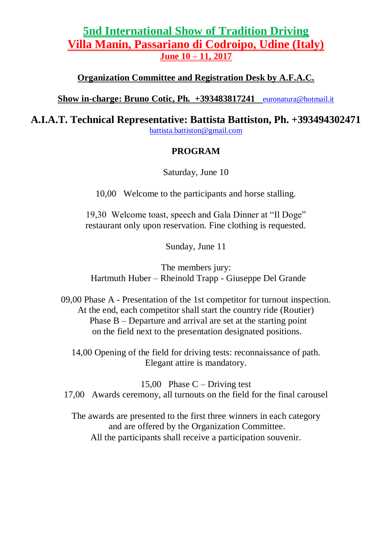# **[5nd International Show of Tradition Driving](2) [Villa Manin, Passariano di Codroipo, Udine \(Italy\)](2) [June 10 –](2) 11, 2017**

**[Organization Committee and Registration Desk by A.F.A.C.](2)**

**[Show in-charge: Bruno Cotic, Ph. +393483817241](2)** euronatura@hotmail.it

**[A.I.A.T. Technical Representative: Battista Battiston, Ph. +393494302471](2)**

[battista.battiston@gmail.com](2)

## **[PROGRAM](2)**

Saturday, June 10

10,00 Welcome to the participants and horse stalling.

19,30 Welcome toast, speech and Gala Dinner at "Il Doge" restaurant only upon reservation. Fine clothing is requested.

Sunday, June 11

The members jury: Hartmuth Huber – Rheinold Trapp - Giuseppe Del Grande

09,00 Phase A - Presentation of the 1st competitor for turnout inspection. At the end, each competitor shall start the country ride (Routier) Phase B – Departure and arrival are set at the starting point on the field next to the presentation designated positions.

14,00 Opening of the field for driving tests: reconnaissance of path. Elegant attire is mandatory.

15,00 Phase  $C$  – Driving test 17,00 Awards ceremony, all turnouts on the field for the final carousel

The awards are presented to the first three winners in each category and are offered by the Organization Committee. All the participants shall receive a participation souvenir.